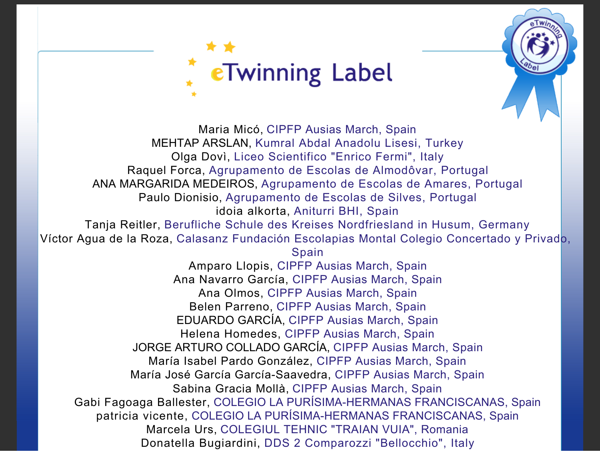



Donatella Bugiardini, DDS 2 Comparozzi "Bellocchio", Italy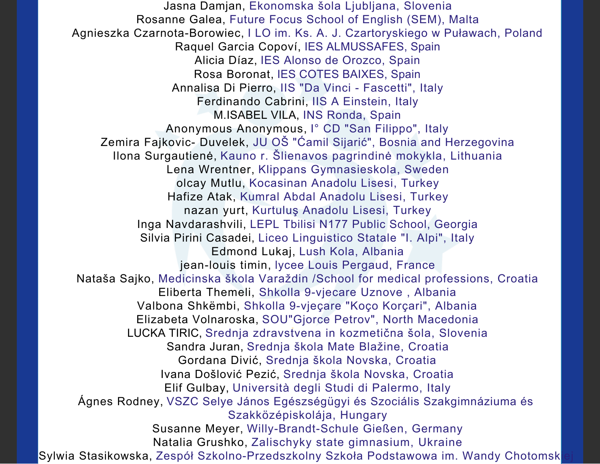Jasna Damjan, Ekonomska šola Ljubljana, Slovenia Rosanne Galea, Future Focus School of English (SEM), Malta Agnieszka Czarnota-Borowiec, I LO im. Ks. A. J. Czartoryskiego w Puławach, Poland Raquel Garcia Copoví, IES ALMUSSAFES, Spain Alicia Díaz, IES Alonso de Orozco, Spain Rosa Boronat, IES COTES BAIXES, Spain Annalisa Di Pierro, IIS "Da Vinci - Fascetti", Italy Ferdinando Cabrini, IIS A Einstein, Italy M.ISABEL VILA, INS Ronda, Spain Anonymous Anonymous, I° CD "San Filippo", Italy Zemira Fajkovic- Duvelek, JU OŠ "Ćamil Sijarić", Bosnia and Herzegovina Ilona Surgautienė, Kauno r. Šlienavos pagrindinė mokykla, Lithuania Lena Wrentner, Klippans Gymnasieskola, Sweden olcay Mutlu, Kocasinan Anadolu Lisesi, Turkey Hafize Atak, Kumral Abdal Anadolu Lisesi, Turkey nazan yurt, Kurtuluş Anadolu Lisesi, Turkey Inga Navdarashvili, LEPL Tbilisi N177 Public School, Georgia Silvia Pirini Casadei, Liceo Linguistico Statale "I. Alpi", Italy Edmond Lukaj, Lush Kola, Albania jean-louis timin, lycee Louis Pergaud, France Nataša Sajko, Medicinska škola Varaždin /School for medical professions, Croatia Eliberta Themeli, Shkolla 9-vjecare Uznove , Albania Valbona Shkëmbi, Shkolla 9-vjeçare "Koço Korçari", Albania Elizabeta Volnaroska, SOU"Gjorce Petrov", North Macedonia LUCKA TIRIC, Srednja zdravstvena in kozmetična šola, Slovenia Sandra Juran, Srednja škola Mate Blažine, Croatia Gordana Divić, Srednja škola Novska, Croatia Ivana Došlović Pezić, Srednja škola Novska, Croatia Elif Gulbay, Università degli Studi di Palermo, Italy Ágnes Rodney, VSZC Selye János Egészségügyi és Szociális Szakgimnáziuma és Szakközépiskolája, Hungary Susanne Meyer, Willy-Brandt-Schule Gießen, Germany Natalia Grushko, Zalischyky state gimnasium, Ukraine Sylwia Stasikowska, Zespół Szkolno-Przedszkolny Szkoła Podstawowa im. Wandy Chotomsk